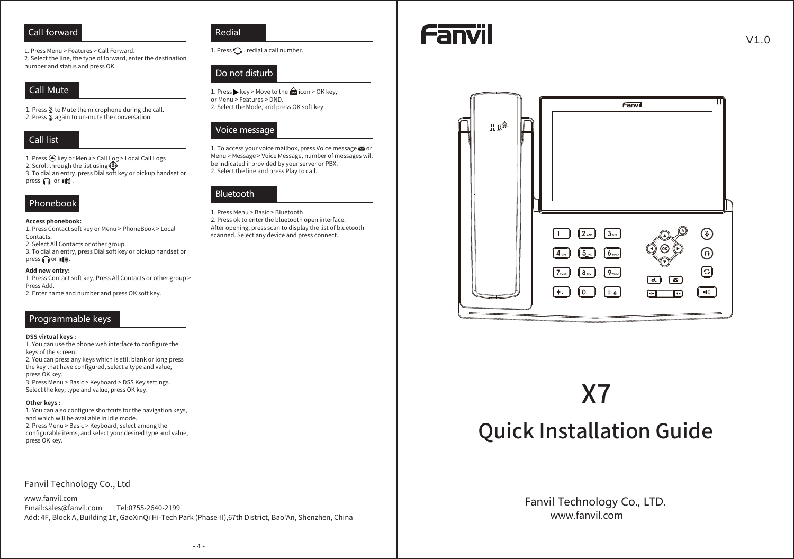## Call forward

1. Press Menu > Features > Call Forward. 2. Select the line, the type of forward, enter the destination number and status and press OK.

# **Call Mute**

1. Press  $\Sigma$  to Mute the microphone during the call. 2. Press & again to un-mute the conversation.

# Call list

1. Press @ key or Menu > Call Log > Local Call Logs 2. Scroll through the list using 3. To dial an entry, press Dial soft key or pickup handset or press  $\bigcap$  or  $\Psi$ .

# Phonebook

Access phonebook: 1. Press Contact soft key or Menu > PhoneBook > Local

Contacts.

2. Select All Contacts or other group. 3. To dial an entry, press Dial soft key or pickup handset or press or (1)

#### Add new entry:

1. Press Contact soft key, Press All Contacts or other group > Press Add.

2. Enter name and number and press OK soft key.

# Programmable keys

#### **DSS virtual kevs:**

1. You can use the phone web interface to configure the keys of the screen. 2. You can press any keys which is still blank or long press the key that have configured, select a type and value, press OK key. 3. Press Menu > Basic > Keyboard > DSS Key settings.

Select the key, type and value, press OK key.

#### Other keys:

1. You can also configure shortcuts for the navigation keys, and which will be available in idle mode. 2. Press Menu > Basic > Keyboard, select among the configurable items, and select your desired type and value, press OK key.

### Fanvil Technology Co., Ltd

www.fanvil.com Email:sales@fanvil.com Tel:0755-2640-2199 Add: 4F, Block A, Building 1#, GaoXinQi Hi-Tech Park (Phase-II), 67th District, Bao'An, Shenzhen, China



1. Press  $\bigcirc$ , redial a call number.

## Do not disturb

1. Press ▶ key > Move to the △icon > OK key, or Menu > Features > DND. 2. Select the Mode, and press OK soft key.

## Voice message

1. To access your voice mailbox, press Voice message **x** or Menu > Message > Voice Message, number of messages will be indicated if provided by your server or PBX. 2. Select the line and press Play to call.



1. Press Menu > Basic > Bluetooth 2. Press ok to enter the bluetooth open interface. After opening, press scan to display the list of bluetooth scanned. Select any device and press connect.





# X7

# **Quick Installation Guide**

Fanvil Technology Co., LTD. www fanvil com